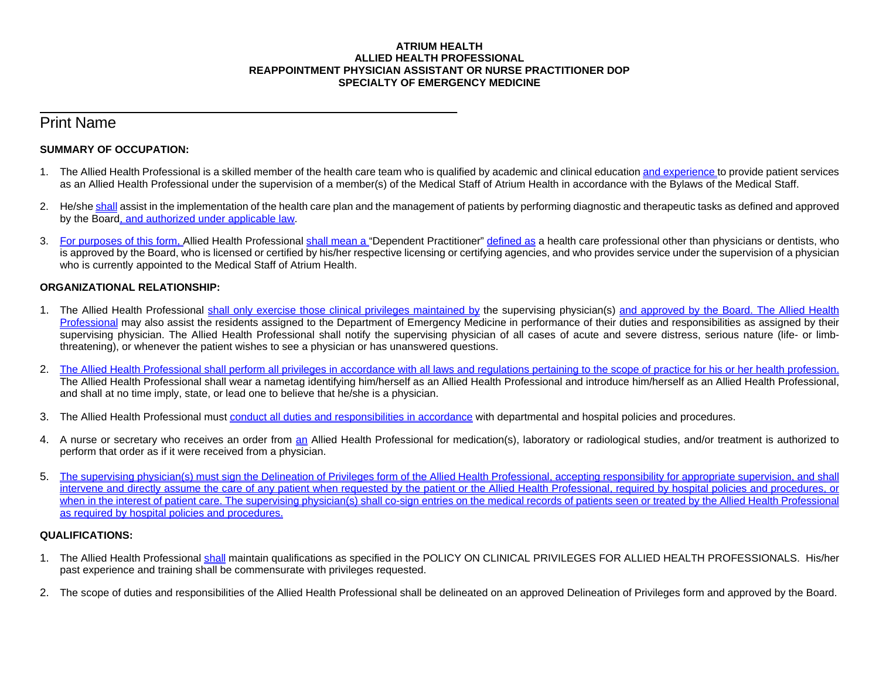#### **ATRIUM HEALTH ALLIED HEALTH PROFESSIONAL REAPPOINTMENT PHYSICIAN ASSISTANT OR NURSE PRACTITIONER DOP SPECIALTY OF EMERGENCY MEDICINE**

# Print Name

## **SUMMARY OF OCCUPATION:**

\_\_\_\_\_\_\_\_\_\_\_\_\_\_\_\_\_\_\_\_\_\_\_\_\_\_\_\_\_\_\_\_\_\_\_\_\_\_\_\_\_\_\_\_\_\_\_\_\_\_\_\_\_\_\_\_\_\_\_\_\_\_\_\_\_\_\_\_\_

- 1. The Allied Health Professional is a skilled member of the health care team who is qualified by academic and clinical education and experience to provide patient services as an Allied Health Professional under the supervision of a member(s) of the Medical Staff of Atrium Health in accordance with the Bylaws of the Medical Staff.
- 2. He/she shall assist in the implementation of the health care plan and the management of patients by performing diagnostic and therapeutic tasks as defined and approved by the Board, and authorized under applicable law.
- 3. For purposes of this form, Allied Health Professional shall mean a "Dependent Practitioner" defined as a health care professional other than physicians or dentists, who is approved by the Board, who is licensed or certified by his/her respective licensing or certifying agencies, and who provides service under the supervision of a physician who is currently appointed to the Medical Staff of Atrium Health.

## **ORGANIZATIONAL RELATIONSHIP:**

- 1. The Allied Health Professional shall only exercise those clinical privileges maintained by the supervising physician(s) and approved by the Board. The Allied Health Professional may also assist the residents assigned to the Department of Emergency Medicine in performance of their duties and responsibilities as assigned by their supervising physician. The Allied Health Professional shall notify the supervising physician of all cases of acute and severe distress, serious nature (life- or limbthreatening), or whenever the patient wishes to see a physician or has unanswered questions.
- 2. The Allied Health Professional shall perform all privileges in accordance with all laws and regulations pertaining to the scope of practice for his or her health profession. The Allied Health Professional shall wear a nametag identifying him/herself as an Allied Health Professional and introduce him/herself as an Allied Health Professional, and shall at no time imply, state, or lead one to believe that he/she is a physician.
- 3. The Allied Health Professional must conduct all duties and responsibilities in accordance with departmental and hospital policies and procedures.
- 4. A nurse or secretary who receives an order from an Allied Health Professional for medication(s), laboratory or radiological studies, and/or treatment is authorized to perform that order as if it were received from a physician.
- 5. The supervising physician(s) must sign the Delineation of Privileges form of the Allied Health Professional, accepting responsibility for appropriate supervision, and shall intervene and directly assume the care of any patient when requested by the patient or the Allied Health Professional, required by hospital policies and procedures, or when in the interest of patient care. The supervising physician(s) shall co-sign entries on the medical records of patients seen or treated by the Allied Health Professional as required by hospital policies and procedures.

## **QUALIFICATIONS:**

- 1. The Allied Health Professional shall maintain qualifications as specified in the POLICY ON CLINICAL PRIVILEGES FOR ALLIED HEALTH PROFESSIONALS. His/her past experience and training shall be commensurate with privileges requested.
- 2. The scope of duties and responsibilities of the Allied Health Professional shall be delineated on an approved Delineation of Privileges form and approved by the Board.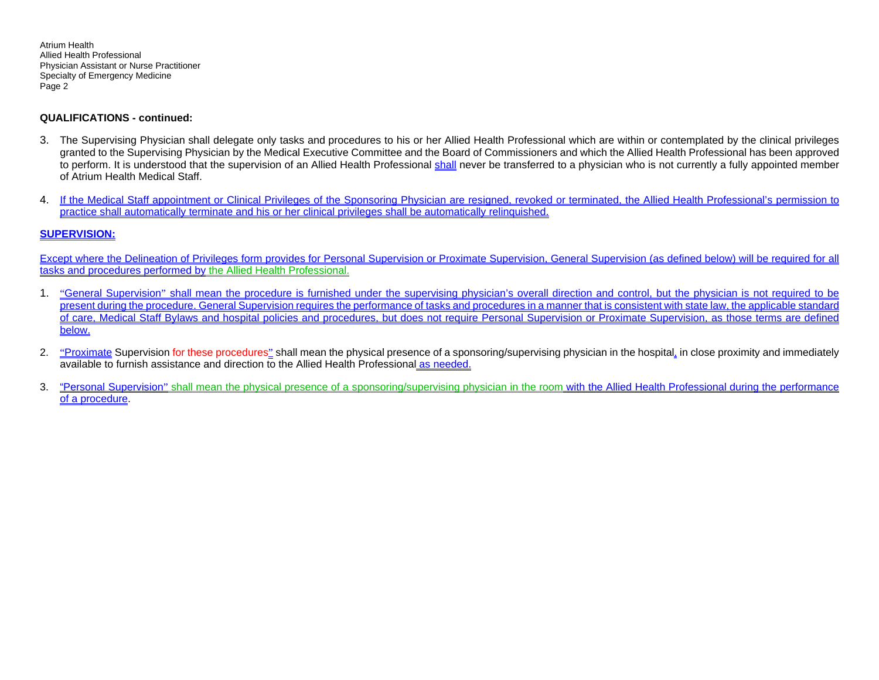#### **QUALIFICATIONS - continued:**

- 3. The Supervising Physician shall delegate only tasks and procedures to his or her Allied Health Professional which are within or contemplated by the clinical privileges granted to the Supervising Physician by the Medical Executive Committee and the Board of Commissioners and which the Allied Health Professional has been approved to perform. It is understood that the supervision of an Allied Health Professional shall never be transferred to a physician who is not currently a fully appointed member of Atrium Health Medical Staff.
- 4. If the Medical Staff appointment or Clinical Privileges of the Sponsoring Physician are resigned, revoked or terminated, the Allied Health Professional's permission to practice shall automatically terminate and his or her clinical privileges shall be automatically relinquished.

### **SUPERVISION:**

Except where the Delineation of Privileges form provides for Personal Supervision or Proximate Supervision, General Supervision (as defined below) will be required for all tasks and procedures performed by the Allied Health Professional.

- 1. "General Supervision" shall mean the procedure is furnished under the supervising physician's overall direction and control, but the physician is not required to be present during the procedure. General Supervision requires the performance of tasks and procedures in a manner that is consistent with state law, the applicable standard of care, Medical Staff Bylaws and hospital policies and procedures, but does not require Personal Supervision or Proximate Supervision, as those terms are defined below.
- 2. "Proximate Supervision for these procedures" shall mean the physical presence of a sponsoring/supervising physician in the hospital, in close proximity and immediately available to furnish assistance and direction to the Allied Health Professional as needed.
- 3. "Personal Supervision" shall mean the physical presence of a sponsoring/supervising physician in the room with the Allied Health Professional during the performance of a procedure.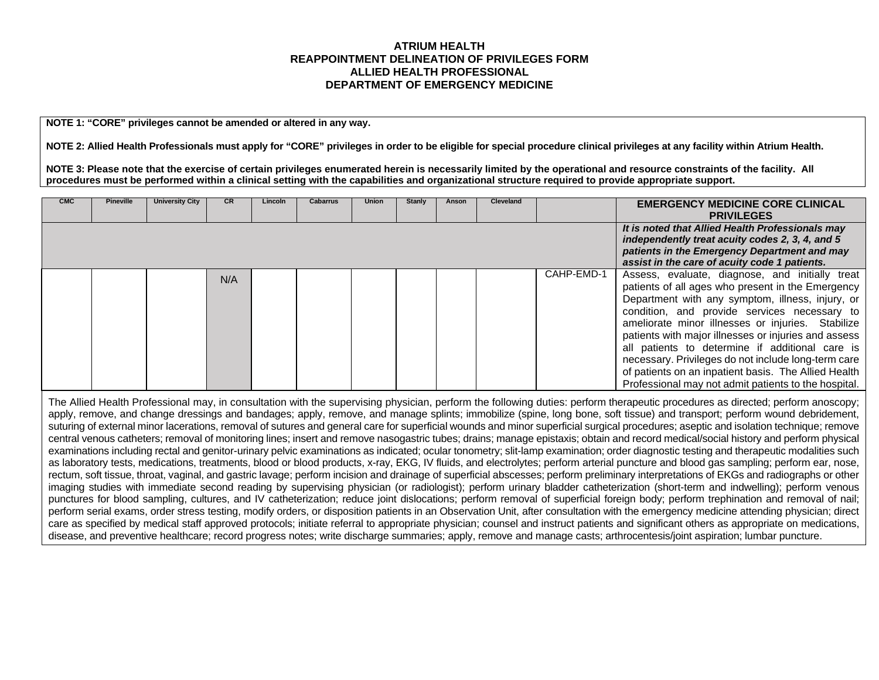## **ATRIUM HEALTH REAPPOINTMENT DELINEATION OF PRIVILEGES FORM ALLIED HEALTH PROFESSIONAL DEPARTMENT OF EMERGENCY MEDICINE**

**NOTE 1: "CORE" privileges cannot be amended or altered in any way.**

**NOTE 2: Allied Health Professionals must apply for "CORE" privileges in order to be eligible for special procedure clinical privileges at any facility within Atrium Health.** 

**NOTE 3: Please note that the exercise of certain privileges enumerated herein is necessarily limited by the operational and resource constraints of the facility. All procedures must be performed within a clinical setting with the capabilities and organizational structure required to provide appropriate support.**

| <b>CMC</b> | <b>Pineville</b> | <b>University City</b> | CR  | Lincoln | Cabarrus | <b>Union</b> | Stanly | Anson | <b>Cleveland</b> |            | <b>EMERGENCY MEDICINE CORE CLINICAL</b><br><b>PRIVILEGES</b>                                                                                                                                                                                                                                                                                                                                                                                                                                                                                    |
|------------|------------------|------------------------|-----|---------|----------|--------------|--------|-------|------------------|------------|-------------------------------------------------------------------------------------------------------------------------------------------------------------------------------------------------------------------------------------------------------------------------------------------------------------------------------------------------------------------------------------------------------------------------------------------------------------------------------------------------------------------------------------------------|
|            |                  |                        |     |         |          |              |        |       |                  |            | It is noted that Allied Health Professionals may<br>independently treat acuity codes 2, 3, 4, and 5<br>patients in the Emergency Department and may<br>assist in the care of acuity code 1 patients.                                                                                                                                                                                                                                                                                                                                            |
|            |                  |                        | N/A |         |          |              |        |       |                  | CAHP-EMD-1 | Assess, evaluate, diagnose, and initially treat<br>patients of all ages who present in the Emergency<br>Department with any symptom, illness, injury, or<br>condition, and provide services necessary to<br>ameliorate minor illnesses or injuries. Stabilize<br>patients with major illnesses or injuries and assess<br>all patients to determine if additional care is<br>necessary. Privileges do not include long-term care<br>of patients on an inpatient basis. The Allied Health<br>Professional may not admit patients to the hospital. |

The Allied Health Professional may, in consultation with the supervising physician, perform the following duties: perform therapeutic procedures as directed; perform anoscopy; apply, remove, and change dressings and bandages; apply, remove, and manage splints; immobilize (spine, long bone, soft tissue) and transport; perform wound debridement, suturing of external minor lacerations, removal of sutures and general care for superficial wounds and minor superficial surgical procedures; aseptic and isolation technique; remove central venous catheters; removal of monitoring lines; insert and remove nasogastric tubes; drains; manage epistaxis; obtain and record medical/social history and perform physical examinations including rectal and genitor-urinary pelvic examinations as indicated; ocular tonometry; slit-lamp examination; order diagnostic testing and therapeutic modalities such as laboratory tests, medications, treatments, blood or blood products, x-ray, EKG, IV fluids, and electrolytes; perform arterial puncture and blood gas sampling; perform ear, nose, rectum, soft tissue, throat, vaginal, and gastric lavage; perform incision and drainage of superficial abscesses; perform preliminary interpretations of EKGs and radiographs or other imaging studies with immediate second reading by supervising physician (or radiologist); perform urinary bladder catheterization (short-term and indwelling); perform venous punctures for blood sampling, cultures, and IV catheterization; reduce joint dislocations; perform removal of superficial foreign body; perform trephination and removal of nail; perform serial exams, order stress testing, modify orders, or disposition patients in an Observation Unit, after consultation with the emergency medicine attending physician; direct care as specified by medical staff approved protocols; initiate referral to appropriate physician; counsel and instruct patients and significant others as appropriate on medications, disease, and preventive healthcare; record progress notes; write discharge summaries; apply, remove and manage casts; arthrocentesis/joint aspiration; lumbar puncture.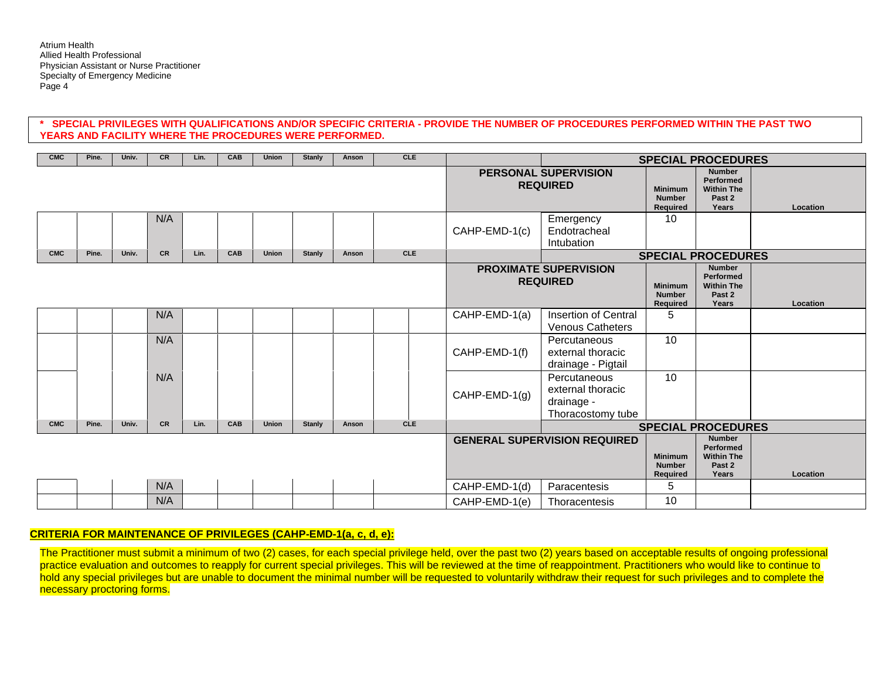### **\* SPECIAL PRIVILEGES WITH QUALIFICATIONS AND/OR SPECIFIC CRITERIA - PROVIDE THE NUMBER OF PROCEDURES PERFORMED WITHIN THE PAST TWO YEARS AND FACILITY WHERE THE PROCEDURES WERE PERFORMED.**

| CMC        | Pine. | Univ. | <b>CR</b> | Lin. | <b>CAB</b> | Union        | Stanly        | Anson | <b>CLE</b> |                                     |                                                                      |                                                                    | <b>SPECIAL PROCEDURES</b>                                                 |          |
|------------|-------|-------|-----------|------|------------|--------------|---------------|-------|------------|-------------------------------------|----------------------------------------------------------------------|--------------------------------------------------------------------|---------------------------------------------------------------------------|----------|
|            |       |       |           |      |            |              |               |       |            |                                     | PERSONAL SUPERVISION<br><b>REQUIRED</b>                              | <b>Minimum</b><br><b>Number</b><br>Required                        | <b>Number</b><br><b>Performed</b><br><b>Within The</b><br>Past 2<br>Years | Location |
|            |       |       | N/A       |      |            |              |               |       |            | CAHP-EMD-1(c)                       | Emergency<br>Endotracheal<br>Intubation                              | 10                                                                 |                                                                           |          |
| <b>CMC</b> | Pine. | Univ. | <b>CR</b> | Lin. | CAB        | <b>Union</b> | Stanly        | Anson | <b>CLE</b> |                                     |                                                                      |                                                                    | <b>SPECIAL PROCEDURES</b>                                                 |          |
|            |       |       |           |      |            |              |               |       |            |                                     | <b>PROXIMATE SUPERVISION</b><br><b>REQUIRED</b>                      | <b>Minimum</b><br><b>Number</b><br>Required                        | <b>Number</b><br>Performed<br><b>Within The</b><br>Past 2<br>Years        | Location |
|            |       |       | N/A       |      |            |              |               |       |            | CAHP-EMD-1(a)                       | Insertion of Central<br><b>Venous Catheters</b>                      | 5                                                                  |                                                                           |          |
|            |       |       | N/A       |      |            |              |               |       |            | CAHP-EMD-1(f)                       | Percutaneous<br>external thoracic<br>drainage - Pigtail              | 10                                                                 |                                                                           |          |
|            |       |       | N/A       |      |            |              |               |       |            | $CAHP-EMD-1(g)$                     | Percutaneous<br>external thoracic<br>drainage -<br>Thoracostomy tube | 10                                                                 |                                                                           |          |
| <b>CMC</b> | Pine. | Univ. | <b>CR</b> | Lin. | CAB        | <b>Union</b> | <b>Stanly</b> | Anson | <b>CLE</b> |                                     |                                                                      |                                                                    | <b>SPECIAL PROCEDURES</b>                                                 |          |
|            |       |       |           |      |            |              |               |       |            | <b>GENERAL SUPERVISION REQUIRED</b> | <b>Minimum</b><br><b>Number</b><br>Required                          | <b>Number</b><br>Performed<br><b>Within The</b><br>Past 2<br>Years | Location                                                                  |          |
|            |       |       | N/A       |      |            |              |               |       |            | CAHP-EMD-1(d)                       | Paracentesis                                                         | 5                                                                  |                                                                           |          |
|            |       |       | N/A       |      |            |              |               |       |            | CAHP-EMD-1(e)                       | Thoracentesis                                                        | 10                                                                 |                                                                           |          |

## **CRITERIA FOR MAINTENANCE OF PRIVILEGES (CAHP-EMD-1(a, c, d, e):**

The Practitioner must submit a minimum of two (2) cases, for each special privilege held, over the past two (2) years based on acceptable results of ongoing professional practice evaluation and outcomes to reapply for current special privileges. This will be reviewed at the time of reappointment. Practitioners who would like to continue to hold any special privileges but are unable to document the minimal number will be requested to voluntarily withdraw their request for such privileges and to complete the necessary proctoring forms.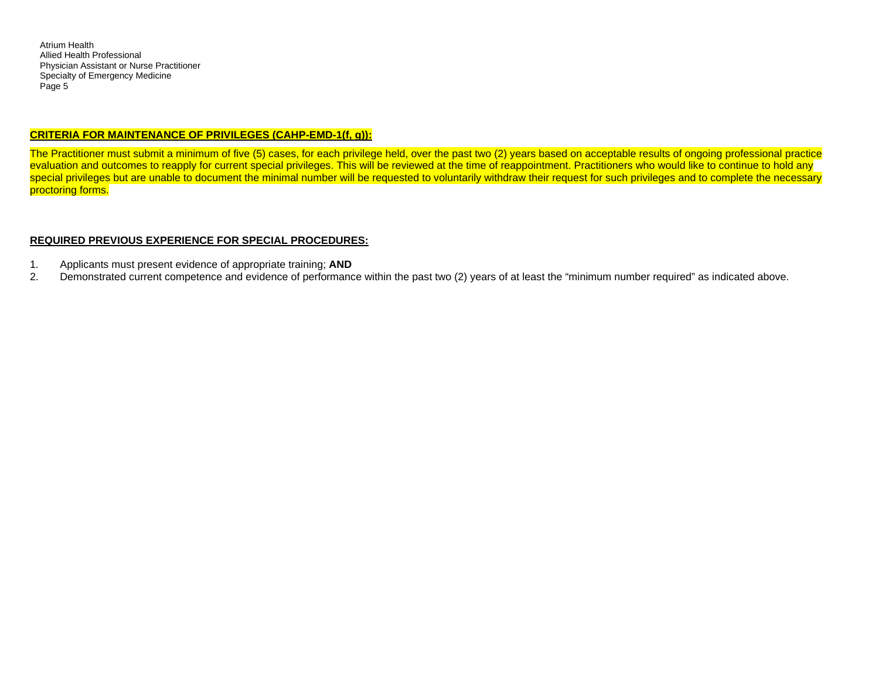### **CRITERIA FOR MAINTENANCE OF PRIVILEGES (CAHP-EMD-1(f, g)):**

The Practitioner must submit a minimum of five (5) cases, for each privilege held, over the past two (2) years based on acceptable results of ongoing professional practice evaluation and outcomes to reapply for current special privileges. This will be reviewed at the time of reappointment. Practitioners who would like to continue to hold any special privileges but are unable to document the minimal number will be requested to voluntarily withdraw their request for such privileges and to complete the necessary proctoring forms.

### **REQUIRED PREVIOUS EXPERIENCE FOR SPECIAL PROCEDURES:**

- 1. Applicants must present evidence of appropriate training; **AND**
- 2. Demonstrated current competence and evidence of performance within the past two (2) years of at least the "minimum number required" as indicated above.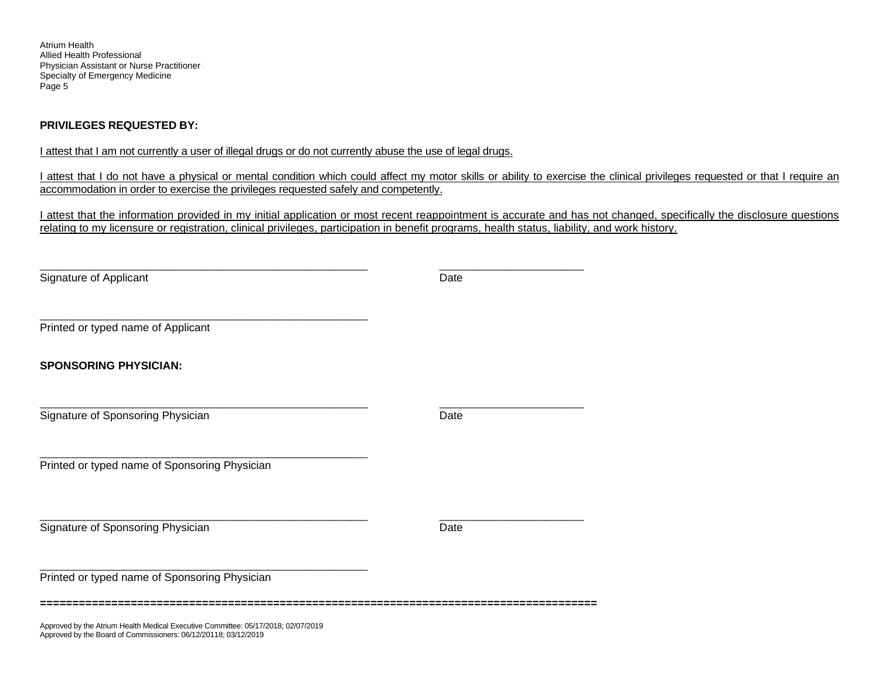## **PRIVILEGES REQUESTED BY:**

Approved by the Board of Commissioners: 06/12/20118; 03/12/2019

I attest that I am not currently a user of illegal drugs or do not currently abuse the use of legal drugs.

I attest that I do not have a physical or mental condition which could affect my motor skills or ability to exercise the clinical privileges requested or that I require an accommodation in order to exercise the privileges requested safely and competently.

I attest that the information provided in my initial application or most recent reappointment is accurate and has not changed, specifically the disclosure questions relating to my licensure or registration, clinical privileges, participation in benefit programs, health status, liability, and work history.

\_\_\_\_\_\_\_\_\_\_\_\_\_\_\_\_\_\_\_\_\_\_\_\_\_\_\_\_\_\_\_\_\_\_\_\_\_\_\_\_\_\_\_\_\_\_\_\_\_\_\_\_\_\_\_\_\_\_\_ \_\_\_\_\_\_\_\_\_\_\_\_\_\_\_\_\_\_\_\_\_\_\_\_\_\_ Signature of Applicant Date Date Date Date Date \_\_\_\_\_\_\_\_\_\_\_\_\_\_\_\_\_\_\_\_\_\_\_\_\_\_\_\_\_\_\_\_\_\_\_\_\_\_\_\_\_\_\_\_\_\_\_\_\_\_\_\_\_\_\_\_\_\_\_ Printed or typed name of Applicant **SPONSORING PHYSICIAN:** \_\_\_\_\_\_\_\_\_\_\_\_\_\_\_\_\_\_\_\_\_\_\_\_\_\_\_\_\_\_\_\_\_\_\_\_\_\_\_\_\_\_\_\_\_\_\_\_\_\_\_\_\_\_\_\_\_\_\_ \_\_\_\_\_\_\_\_\_\_\_\_\_\_\_\_\_\_\_\_\_\_\_\_\_\_ Signature of Sponsoring Physician Date Construction Date Date Date \_\_\_\_\_\_\_\_\_\_\_\_\_\_\_\_\_\_\_\_\_\_\_\_\_\_\_\_\_\_\_\_\_\_\_\_\_\_\_\_\_\_\_\_\_\_\_\_\_\_\_\_\_\_\_\_\_\_\_ Printed or typed name of Sponsoring Physician \_\_\_\_\_\_\_\_\_\_\_\_\_\_\_\_\_\_\_\_\_\_\_\_\_\_\_\_\_\_\_\_\_\_\_\_\_\_\_\_\_\_\_\_\_\_\_\_\_\_\_\_\_\_\_\_\_\_\_ \_\_\_\_\_\_\_\_\_\_\_\_\_\_\_\_\_\_\_\_\_\_\_\_\_\_ Signature of Sponsoring Physician Date Control of Sponsoring Physician Date Date Date Date \_\_\_\_\_\_\_\_\_\_\_\_\_\_\_\_\_\_\_\_\_\_\_\_\_\_\_\_\_\_\_\_\_\_\_\_\_\_\_\_\_\_\_\_\_\_\_\_\_\_\_\_\_\_\_\_\_\_\_ Printed or typed name of Sponsoring Physician **======================================================================================** Approved by the Atrium Health Medical Executive Committee: 05/17/2018; 02/07/2019